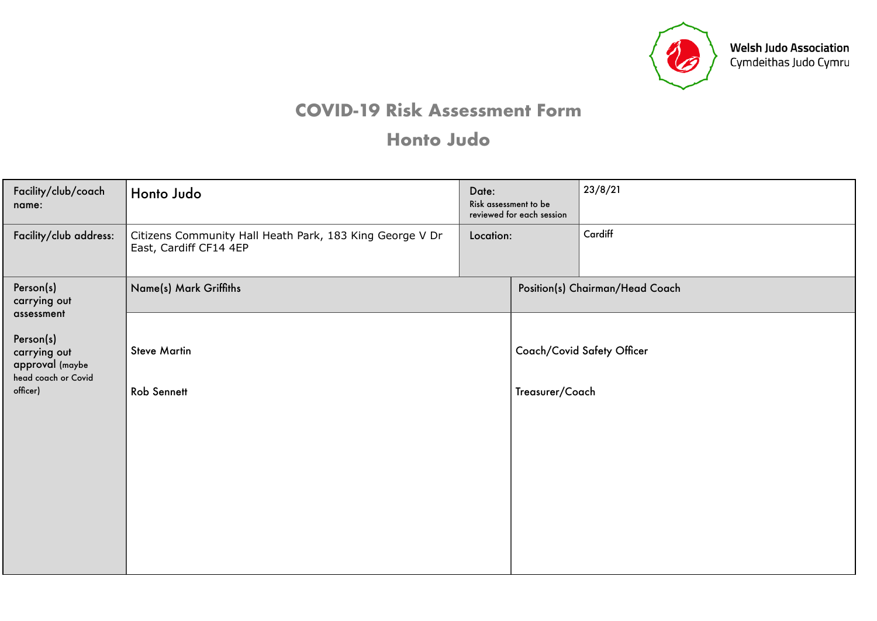

## **COVID-19 Risk Assessment Form**

## **Honto Judo**

| Facility/club/coach<br>name:                                        | Honto Judo<br>Date:                                                                |                            | Risk assessment to be<br>reviewed for each session | 23/8/21 |  |  |
|---------------------------------------------------------------------|------------------------------------------------------------------------------------|----------------------------|----------------------------------------------------|---------|--|--|
| Facility/club address:                                              | Citizens Community Hall Heath Park, 183 King George V Dr<br>East, Cardiff CF14 4EP | Location:                  |                                                    | Cardiff |  |  |
| Person(s)<br>carrying out<br>assessment                             | Name(s) Mark Griffiths                                                             |                            | Position(s) Chairman/Head Coach                    |         |  |  |
| Person(s)<br>carrying out<br>approval (maybe<br>head coach or Covid | <b>Steve Martin</b>                                                                | Coach/Covid Safety Officer |                                                    |         |  |  |
| officer)                                                            | <b>Rob Sennett</b>                                                                 |                            | Treasurer/Coach                                    |         |  |  |
|                                                                     |                                                                                    |                            |                                                    |         |  |  |
|                                                                     |                                                                                    |                            |                                                    |         |  |  |
|                                                                     |                                                                                    |                            |                                                    |         |  |  |
|                                                                     |                                                                                    |                            |                                                    |         |  |  |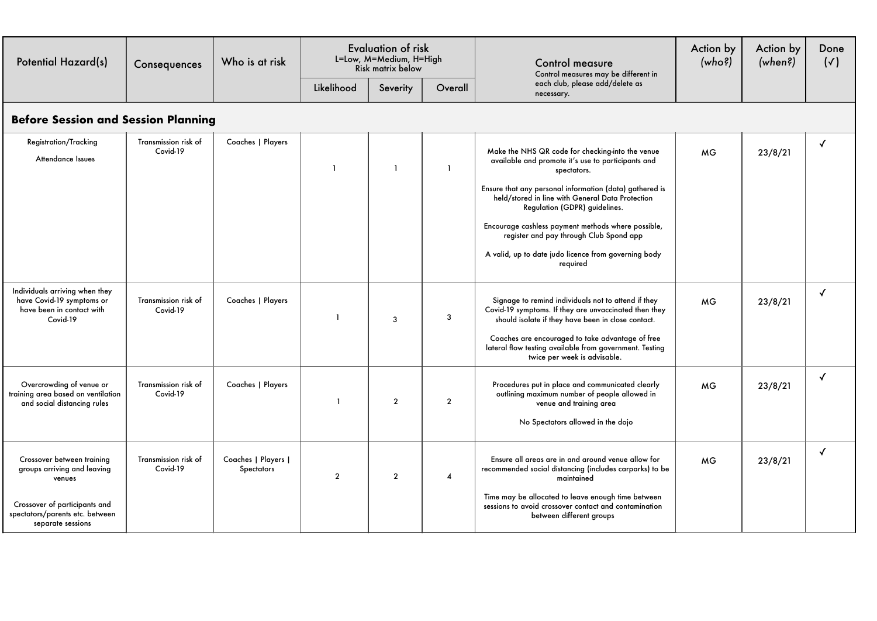| <b>Potential Hazard(s)</b>                                                                                                                                   | Consequences                     | Who is at risk                    |                | <b>Evaluation of risk</b><br>L=Low, M=Medium, H=High<br>Risk matrix below |                | <b>Control measure</b><br>Control measures may be different in                                                                                                                                                                                                                                                                                                                                                                             | Action by<br>(who?) | Action by<br>(when?) | Done<br>$(\checkmark)$ |  |
|--------------------------------------------------------------------------------------------------------------------------------------------------------------|----------------------------------|-----------------------------------|----------------|---------------------------------------------------------------------------|----------------|--------------------------------------------------------------------------------------------------------------------------------------------------------------------------------------------------------------------------------------------------------------------------------------------------------------------------------------------------------------------------------------------------------------------------------------------|---------------------|----------------------|------------------------|--|
|                                                                                                                                                              |                                  |                                   | Likelihood     | Severity                                                                  | Overall        | each club, please add/delete as<br>necessary.                                                                                                                                                                                                                                                                                                                                                                                              |                     |                      |                        |  |
| <b>Before Session and Session Planning</b>                                                                                                                   |                                  |                                   |                |                                                                           |                |                                                                                                                                                                                                                                                                                                                                                                                                                                            |                     |                      |                        |  |
| <b>Registration/Tracking</b><br>Attendance Issues                                                                                                            | Transmission risk of<br>Covid-19 | Coaches   Players                 | $\mathbf{1}$   | $\mathbf{1}$                                                              | $\mathbf{1}$   | Make the NHS QR code for checking-into the venue<br>available and promote it's use to participants and<br>spectators.<br>Ensure that any personal information (data) gathered is<br>held/stored in line with General Data Protection<br>Regulation (GDPR) guidelines.<br>Encourage cashless payment methods where possible,<br>register and pay through Club Spond app<br>A valid, up to date judo licence from governing body<br>required | <b>MG</b>           | 23/8/21              | √                      |  |
| Individuals arriving when they<br>have Covid-19 symptoms or<br>have been in contact with<br>Covid-19                                                         | Transmission risk of<br>Covid-19 | Coaches   Players                 | $\overline{1}$ | 3                                                                         | 3              | Signage to remind individuals not to attend if they<br>Covid-19 symptoms. If they are unvaccinated then they<br>should isolate if they have been in close contact.<br>Coaches are encouraged to take advantage of free<br>lateral flow testing available from government. Testing<br>twice per week is advisable.                                                                                                                          | <b>MG</b>           | 23/8/21              | $\checkmark$           |  |
| Overcrowding of venue or<br>training area based on ventilation<br>and social distancing rules                                                                | Transmission risk of<br>Covid-19 | Coaches   Players                 | $\mathbf{1}$   | $\overline{2}$                                                            | $\overline{2}$ | Procedures put in place and communicated clearly<br>outlining maximum number of people allowed in<br>venue and training area<br>No Spectators allowed in the dojo                                                                                                                                                                                                                                                                          | <b>MG</b>           | 23/8/21              | $\checkmark$           |  |
| Crossover between training<br>groups arriving and leaving<br>venues<br>Crossover of participants and<br>spectators/parents etc. between<br>separate sessions | Transmission risk of<br>Covid-19 | Coaches   Players  <br>Spectators | $\overline{2}$ | $\overline{2}$                                                            | 4              | Ensure all areas are in and around venue allow for<br>recommended social distancing (includes carparks) to be<br>maintained<br>Time may be allocated to leave enough time between<br>sessions to avoid crossover contact and contamination<br>between different groups                                                                                                                                                                     | <b>MG</b>           | 23/8/21              | √                      |  |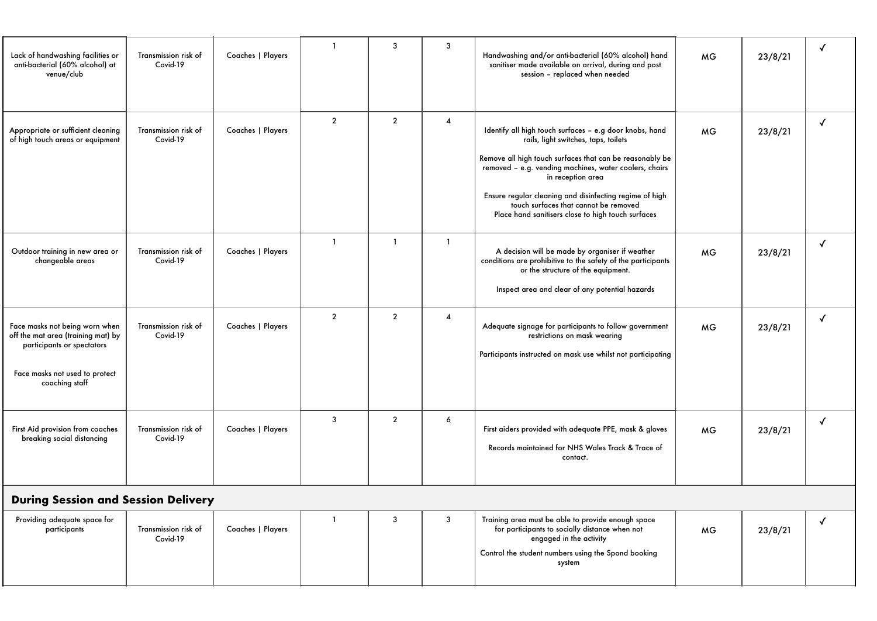| Lack of handwashing facilities or<br>anti-bacterial (60% alcohol) at<br>venue/club                                                                     | Transmission risk of<br>Covid-19 | Coaches   Players | $\mathbf{1}$   | 3              | 3                       | Handwashing and/or anti-bacterial (60% alcohol) hand<br>sanitiser made available on arrival, during and post<br>session - replaced when needed                                                                                                                                                                                                                                                       | <b>MG</b> | 23/8/21 |              |
|--------------------------------------------------------------------------------------------------------------------------------------------------------|----------------------------------|-------------------|----------------|----------------|-------------------------|------------------------------------------------------------------------------------------------------------------------------------------------------------------------------------------------------------------------------------------------------------------------------------------------------------------------------------------------------------------------------------------------------|-----------|---------|--------------|
| Appropriate or sufficient cleaning<br>of high touch areas or equipment                                                                                 | Transmission risk of<br>Covid-19 | Coaches   Players | $\overline{2}$ | $\overline{2}$ | 4                       | Identify all high touch surfaces - e.g door knobs, hand<br>rails, light switches, taps, toilets<br>Remove all high touch surfaces that can be reasonably be<br>removed - e.g. vending machines, water coolers, chairs<br>in reception area<br>Ensure regular cleaning and disinfecting regime of high<br>touch surfaces that cannot be removed<br>Place hand sanitisers close to high touch surfaces | <b>MG</b> | 23/8/21 | $\checkmark$ |
| Outdoor training in new area or<br>changeable areas                                                                                                    | Transmission risk of<br>Covid-19 | Coaches   Players | $\overline{1}$ | $\mathbf{1}$   | $\mathbf{1}$            | A decision will be made by organiser if weather<br>conditions are prohibitive to the safety of the participants<br>or the structure of the equipment.<br>Inspect area and clear of any potential hazards                                                                                                                                                                                             | <b>MG</b> | 23/8/21 | √            |
| Face masks not being worn when<br>off the mat area (training mat) by<br>participants or spectators<br>Face masks not used to protect<br>coaching staff | Transmission risk of<br>Covid-19 | Coaches   Players | $\overline{2}$ | $\overline{2}$ | $\overline{\mathbf{4}}$ | Adequate signage for participants to follow government<br>restrictions on mask wearing<br>Participants instructed on mask use whilst not participating                                                                                                                                                                                                                                               | <b>MG</b> | 23/8/21 | √            |
| First Aid provision from coaches<br>breaking social distancing                                                                                         | Transmission risk of<br>Covid-19 | Coaches   Players | $\mathbf{3}$   | $\overline{2}$ | 6                       | First aiders provided with adequate PPE, mask & gloves<br>Records maintained for NHS Wales Track & Trace of<br>contact.                                                                                                                                                                                                                                                                              | <b>MG</b> | 23/8/21 |              |
| <b>During Session and Session Delivery</b>                                                                                                             |                                  |                   |                |                |                         |                                                                                                                                                                                                                                                                                                                                                                                                      |           |         |              |
| Providing adequate space for<br>participants                                                                                                           | Transmission risk of<br>Covid-19 | Coaches   Players | $\overline{1}$ | 3              | 3                       | Training area must be able to provide enough space<br>for participants to socially distance when not<br>engaged in the activity                                                                                                                                                                                                                                                                      | <b>MG</b> | 23/8/21 | √            |

Control the student numbers using the Spond booking system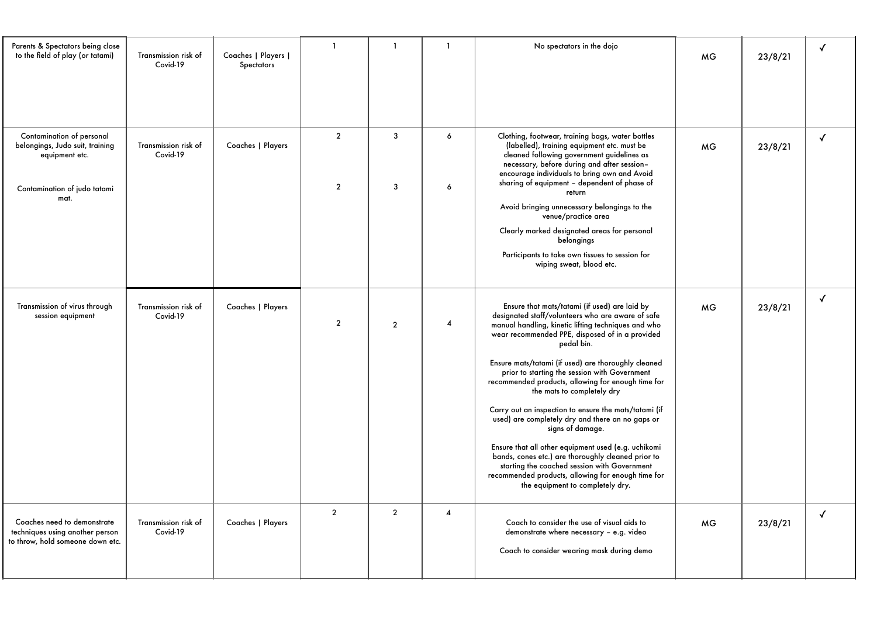| Parents & Spectators being close<br>to the field of play (or tatami)                                                   | Transmission risk of<br>Covid-19 | Coaches   Players  <br>Spectators | $\overline{1}$                   | $\mathbf{1}$   | $\mathbf{1}$     | No spectators in the dojo                                                                                                                                                                                                                                                                                                                                                                                                                                                                                                                                                                                                                                                                                                                                                                                      | <b>MG</b> | 23/8/21 | √            |
|------------------------------------------------------------------------------------------------------------------------|----------------------------------|-----------------------------------|----------------------------------|----------------|------------------|----------------------------------------------------------------------------------------------------------------------------------------------------------------------------------------------------------------------------------------------------------------------------------------------------------------------------------------------------------------------------------------------------------------------------------------------------------------------------------------------------------------------------------------------------------------------------------------------------------------------------------------------------------------------------------------------------------------------------------------------------------------------------------------------------------------|-----------|---------|--------------|
| Contamination of personal<br>belongings, Judo suit, training<br>equipment etc.<br>Contamination of judo tatami<br>mat. | Transmission risk of<br>Covid-19 | Coaches   Players                 | $\overline{2}$<br>$\overline{2}$ | 3<br>3         | $\epsilon$<br>6  | Clothing, footwear, training bags, water bottles<br>(labelled), training equipment etc. must be<br>cleaned following government guidelines as<br>necessary, before during and after session-<br>encourage individuals to bring own and Avoid<br>sharing of equipment - dependent of phase of<br>return<br>Avoid bringing unnecessary belongings to the<br>venue/practice area<br>Clearly marked designated areas for personal<br>belongings<br>Participants to take own tissues to session for<br>wiping sweat, blood etc.                                                                                                                                                                                                                                                                                     | <b>MG</b> | 23/8/21 | $\checkmark$ |
| Transmission of virus through<br>session equipment                                                                     | Transmission risk of<br>Covid-19 | Coaches   Players                 | $\overline{2}$                   | $\overline{2}$ | $\overline{4}$   | Ensure that mats/tatami (if used) are laid by<br>designated staff/volunteers who are aware of safe<br>manual handling, kinetic lifting techniques and who<br>wear recommended PPE, disposed of in a provided<br>pedal bin.<br>Ensure mats/tatami (if used) are thoroughly cleaned<br>prior to starting the session with Government<br>recommended products, allowing for enough time for<br>the mats to completely dry<br>Carry out an inspection to ensure the mats/tatami (if<br>used) are completely dry and there an no gaps or<br>signs of damage.<br>Ensure that all other equipment used (e.g. uchikomi<br>bands, cones etc.) are thoroughly cleaned prior to<br>starting the coached session with Government<br>recommended products, allowing for enough time for<br>the equipment to completely dry. | MG        | 23/8/21 | $\checkmark$ |
| Coaches need to demonstrate<br>techniques using another person<br>to throw, hold someone down etc.                     | Transmission risk of<br>Covid-19 | Coaches   Players                 | $\overline{2}$                   | $\overline{2}$ | $\boldsymbol{4}$ | Coach to consider the use of visual aids to<br>demonstrate where necessary - e.g. video<br>Coach to consider wearing mask during demo                                                                                                                                                                                                                                                                                                                                                                                                                                                                                                                                                                                                                                                                          | <b>MG</b> | 23/8/21 | $\checkmark$ |